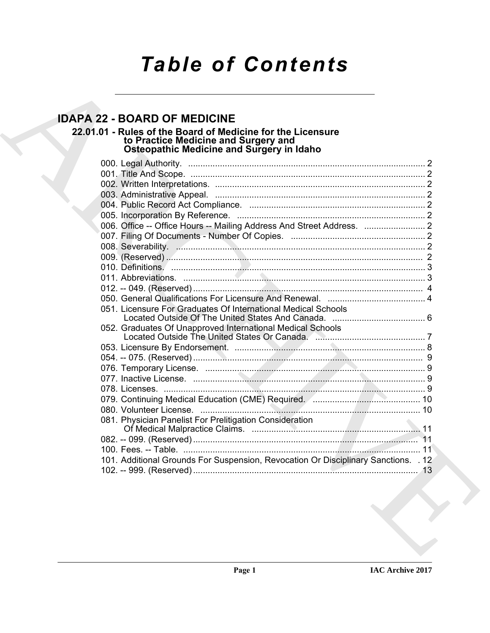# *Table of Contents*

# **IDAPA 22 - BOARD OF MEDICINE**

## **22.01.01 - Rules of the Board of Medicine for the Licensure to Practice Medicine and Surgery and Osteopathic Medicine and Surgery in Idaho**

| 22.01.01 - Rules of the Board of Medicine for the Licensure<br>to Practice Medicine and Surgery and<br>Osteopathic Medicine and Surgery in Idaho |
|--------------------------------------------------------------------------------------------------------------------------------------------------|
|                                                                                                                                                  |
|                                                                                                                                                  |
|                                                                                                                                                  |
|                                                                                                                                                  |
|                                                                                                                                                  |
|                                                                                                                                                  |
|                                                                                                                                                  |
|                                                                                                                                                  |
|                                                                                                                                                  |
|                                                                                                                                                  |
|                                                                                                                                                  |
|                                                                                                                                                  |
|                                                                                                                                                  |
| 051. Licensure For Graduates Of International Medical Schools                                                                                    |
| 052. Graduates Of Unapproved International Medical Schools                                                                                       |
|                                                                                                                                                  |
|                                                                                                                                                  |
|                                                                                                                                                  |
|                                                                                                                                                  |
|                                                                                                                                                  |
|                                                                                                                                                  |
|                                                                                                                                                  |
| 081. Physician Panelist For Prelitigation Consideration<br>. 11                                                                                  |
|                                                                                                                                                  |
|                                                                                                                                                  |
| 101. Additional Grounds For Suspension, Revocation Or Disciplinary Sanctions. . 12                                                               |
|                                                                                                                                                  |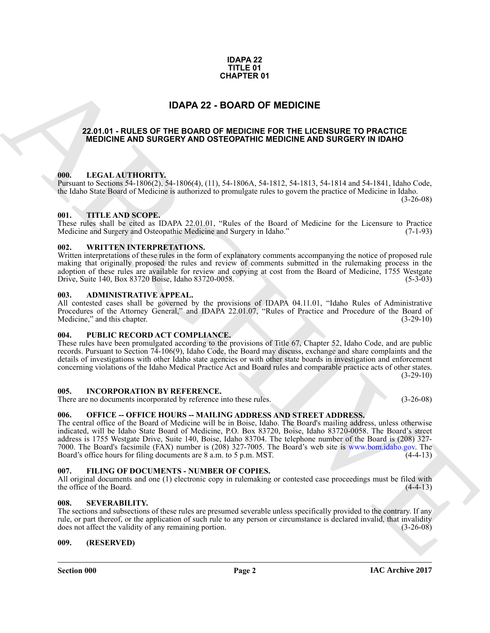#### **IDAPA 22 TITLE 01 CHAPTER 01**

# **IDAPA 22 - BOARD OF MEDICINE**

#### <span id="page-1-1"></span><span id="page-1-0"></span>**22.01.01 - RULES OF THE BOARD OF MEDICINE FOR THE LICENSURE TO PRACTICE MEDICINE AND SURGERY AND OSTEOPATHIC MEDICINE AND SURGERY IN IDAHO**

#### <span id="page-1-2"></span>**000. LEGAL AUTHORITY.**

Pursuant to Sections 54-1806(2), 54-1806(4), (11), 54-1806A, 54-1812, 54-1813, 54-1814 and 54-1841, Idaho Code, the Idaho State Board of Medicine is authorized to promulgate rules to govern the practice of Medicine in Idaho. (3-26-08)

#### <span id="page-1-3"></span>**001. TITLE AND SCOPE.**

These rules shall be cited as IDAPA 22.01.01, "Rules of the Board of Medicine for the Licensure to Practice Medicine and Surgery in Idaho." (7-1-93) Medicine and Surgery and Osteopathic Medicine and Surgery in Idaho."

#### <span id="page-1-4"></span>**002. WRITTEN INTERPRETATIONS.**

Written interpretations of these rules in the form of explanatory comments accompanying the notice of proposed rule making that originally proposed the rules and review of comments submitted in the rulemaking process in the adoption of these rules are available for review and copying at cost from the Board of Medicine, 1755 Westgate<br>Drive, Suite 140, Box 83720 Boise, Idaho 83720-0058. Drive, Suite 140, Box 83720 Boise, Idaho 83720-0058.

#### <span id="page-1-5"></span>**003. ADMINISTRATIVE APPEAL.**

All contested cases shall be governed by the provisions of IDAPA 04.11.01, "Idaho Rules of Administrative Procedures of the Attorney General," and IDAPA 22.01.07, "Rules of Practice and Procedure of the Board of Medicine," and this chapter. (3-29-10) Medicine," and this chapter.

#### <span id="page-1-6"></span>**004. PUBLIC RECORD ACT COMPLIANCE.**

These rules have been promulgated according to the provisions of Title 67, Chapter 52, Idaho Code, and are public records. Pursuant to Section 74-106(9), Idaho Code, the Board may discuss, exchange and share complaints and the details of investigations with other Idaho state agencies or with other state boards in investigation and enforcement concerning violations of the Idaho Medical Practice Act and Board rules and comparable practice acts of other states.  $(3-29-10)$ 

#### <span id="page-1-7"></span>**005. INCORPORATION BY REFERENCE.**

There are no documents incorporated by reference into these rules. (3-26-08)

### <span id="page-1-8"></span>**006. OFFICE -- OFFICE HOURS -- MAILING ADDRESS AND STREET ADDRESS.**

**CHAPTER 01**<br> **IDAPA 22 - BOARD OF MEDICINE**<br> **ARCHI[VE](www.bom.idaho.gov) AND SUITE BOARD OF MEDICINE ARCHIVE ARCHIVE AND SUITE CONSULTER THE MONETARY PROPERTIES AND SUITE AND SUITE AND SUITE AND SUITE AND SUITE AND SUITE AND SUITE AND A SU** The central office of the Board of Medicine will be in Boise, Idaho. The Board's mailing address, unless otherwise indicated, will be Idaho State Board of Medicine, P.O. Box 83720, Boise, Idaho 83720-0058. The Board's street address is 1755 Westgate Drive, Suite 140, Boise, Idaho 83704. The telephone number of the Board is (208) 327- 7000. The Board's facsimile (FAX) number is (208) 327-7005. The Board's web site is www.bom.idaho.gov. The Board's office hours for filing documents are 8 a.m. to 5 p.m. MST. (4-4-13)

#### <span id="page-1-12"></span><span id="page-1-9"></span>**007. FILING OF DOCUMENTS - NUMBER OF COPIES.**

All original documents and one (1) electronic copy in rulemaking or contested case proceedings must be filed with the office of the Board. (4-4-13) the office of the Board.

#### <span id="page-1-10"></span>**008. SEVERABILITY.**

The sections and subsections of these rules are presumed severable unless specifically provided to the contrary. If any rule, or part thereof, or the application of such rule to any person or circumstance is declared invalid, that invalidity does not affect the validity of any remaining portion. (3-26-08) does not affect the validity of any remaining portion.

#### <span id="page-1-11"></span>**009. (RESERVED)**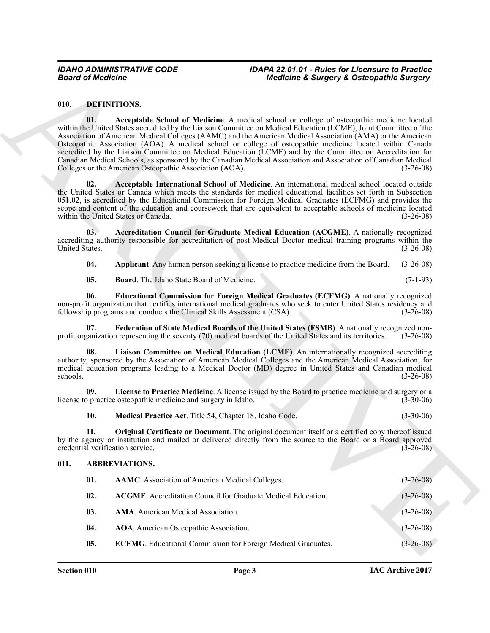#### <span id="page-2-11"></span><span id="page-2-10"></span><span id="page-2-9"></span><span id="page-2-8"></span><span id="page-2-0"></span>**010. DEFINITIONS.**

<span id="page-2-19"></span><span id="page-2-18"></span><span id="page-2-17"></span><span id="page-2-16"></span><span id="page-2-15"></span><span id="page-2-14"></span><span id="page-2-13"></span><span id="page-2-12"></span>

| 10. | <b>Medical Practice Act.</b> Title 54, Chapter 18, Idaho Code. |  | $(3-30-06)$ |
|-----|----------------------------------------------------------------|--|-------------|
|-----|----------------------------------------------------------------|--|-------------|

#### <span id="page-2-7"></span><span id="page-2-6"></span><span id="page-2-5"></span><span id="page-2-4"></span><span id="page-2-3"></span><span id="page-2-2"></span><span id="page-2-1"></span>**011. ABBREVIATIONS.**

| <b>Board of Medicine</b>                |                                                                        | <b>Medicine &amp; Surgery &amp; Osteopathic Surgery</b>                                                                                                                                                                                                                                                                                                                                                                                                                                                                                                                                                                                                                 |             |
|-----------------------------------------|------------------------------------------------------------------------|-------------------------------------------------------------------------------------------------------------------------------------------------------------------------------------------------------------------------------------------------------------------------------------------------------------------------------------------------------------------------------------------------------------------------------------------------------------------------------------------------------------------------------------------------------------------------------------------------------------------------------------------------------------------------|-------------|
| 010.                                    | <b>DEFINITIONS.</b>                                                    |                                                                                                                                                                                                                                                                                                                                                                                                                                                                                                                                                                                                                                                                         |             |
| 01.                                     | Colleges or the American Osteopathic Association (AOA).                | Acceptable School of Medicine. A medical school or college of osteopathic medicine located<br>within the United States accredited by the Liaison Committee on Medical Education (LCME), Joint Committee of the<br>Association of American Medical Colleges (AAMC) and the American Medical Association (AMA) or the American<br>Osteopathic Association (AOA). A medical school or college of osteopathic medicine located within Canada<br>accredited by the Liaison Committee on Medical Education (LCME) and by the Committee on Accreditation for<br>Canadian Medical Schools, as sponsored by the Canadian Medical Association and Association of Canadian Medical | $(3-26-08)$ |
| 02.                                     | within the United States or Canada.                                    | Acceptable International School of Medicine. An international medical school located outside<br>the United States or Canada which meets the standards for medical educational facilities set forth in Subsection<br>051.02, is accredited by the Educational Commission for Foreign Medical Graduates (ECFMG) and provides the<br>scope and content of the education and coursework that are equivalent to acceptable schools of medicine located                                                                                                                                                                                                                       | $(3-26-08)$ |
| 03.<br>United States.                   |                                                                        | Accreditation Council for Graduate Medical Education (ACGME). A nationally recognized<br>accrediting authority responsible for accreditation of post-Medical Doctor medical training programs within the                                                                                                                                                                                                                                                                                                                                                                                                                                                                | $(3-26-08)$ |
| 04.                                     |                                                                        | Applicant. Any human person seeking a license to practice medicine from the Board.                                                                                                                                                                                                                                                                                                                                                                                                                                                                                                                                                                                      | $(3-26-08)$ |
| 05.                                     | <b>Board</b> . The Idaho State Board of Medicine.                      |                                                                                                                                                                                                                                                                                                                                                                                                                                                                                                                                                                                                                                                                         | $(7-1-93)$  |
| 06.                                     | fellowship programs and conducts the Clinical Skills Assessment (CSA). | Educational Commission for Foreign Medical Graduates (ECFMG). A nationally recognized<br>non-profit organization that certifies international medical graduates who seek to enter United States residency and                                                                                                                                                                                                                                                                                                                                                                                                                                                           | $(3-26-08)$ |
| 07.                                     |                                                                        | Federation of State Medical Boards of the United States (FSMB). A nationally recognized non-<br>profit organization representing the seventy (70) medical boards of the United States and its territories.                                                                                                                                                                                                                                                                                                                                                                                                                                                              | $(3-26-08)$ |
| 08.<br>schools.                         |                                                                        | Liaison Committee on Medical Education (LCME). An internationally recognized accrediting<br>authority, sponsored by the Association of American Medical Colleges and the American Medical Association, for<br>medical education programs leading to a Medical Doctor (MD) degree in United States and Canadian medical                                                                                                                                                                                                                                                                                                                                                  | $(3-26-08)$ |
| 09.                                     | license to practice osteopathic medicine and surgery in Idaho.         | License to Practice Medicine. A license issued by the Board to practice medicine and surgery or a                                                                                                                                                                                                                                                                                                                                                                                                                                                                                                                                                                       | $(3-30-06)$ |
| 10.                                     | Medical Practice Act. Title 54, Chapter 18, Idaho Code.                |                                                                                                                                                                                                                                                                                                                                                                                                                                                                                                                                                                                                                                                                         | $(3-30-06)$ |
| 11.<br>credential verification service. |                                                                        | Original Certificate or Document. The original document itself or a certified copy thereof issued<br>by the agency or institution and mailed or delivered directly from the source to the Board or a Board approved                                                                                                                                                                                                                                                                                                                                                                                                                                                     | $(3-26-08)$ |
| 011.                                    | <b>ABBREVIATIONS.</b>                                                  |                                                                                                                                                                                                                                                                                                                                                                                                                                                                                                                                                                                                                                                                         |             |
| 01.                                     | AAMC. Association of American Medical Colleges.                        |                                                                                                                                                                                                                                                                                                                                                                                                                                                                                                                                                                                                                                                                         | $(3-26-08)$ |
| 02.                                     |                                                                        | <b>ACGME.</b> Accreditation Council for Graduate Medical Education.                                                                                                                                                                                                                                                                                                                                                                                                                                                                                                                                                                                                     | $(3-26-08)$ |
| 03.                                     | AMA. American Medical Association.                                     |                                                                                                                                                                                                                                                                                                                                                                                                                                                                                                                                                                                                                                                                         | $(3-26-08)$ |
| 04.                                     | <b>AOA</b> . American Osteopathic Association.                         |                                                                                                                                                                                                                                                                                                                                                                                                                                                                                                                                                                                                                                                                         | $(3-26-08)$ |
| 05.                                     |                                                                        | ECFMG. Educational Commission for Foreign Medical Graduates.                                                                                                                                                                                                                                                                                                                                                                                                                                                                                                                                                                                                            | $(3-26-08)$ |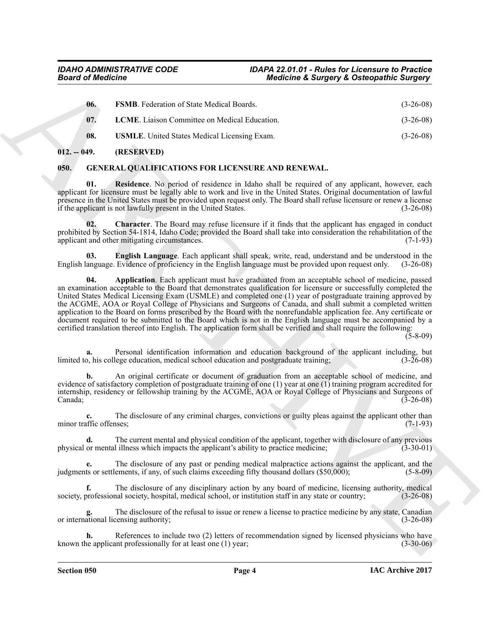<span id="page-3-4"></span><span id="page-3-3"></span><span id="page-3-2"></span>

| 06. | <b>FSMB.</b> Federation of State Medical Boards.     | $(3-26-08)$ |
|-----|------------------------------------------------------|-------------|
| 07. | <b>LCME.</b> Liaison Committee on Medical Education. | $(3-26-08)$ |
| 08. | <b>USMLE.</b> United States Medical Licensing Exam.  | $(3-26-08)$ |

#### <span id="page-3-0"></span>**012. -- 049. (RESERVED)**

### <span id="page-3-5"></span><span id="page-3-1"></span>**050. GENERAL QUALIFICATIONS FOR LICENSURE AND RENEWAL.**

<span id="page-3-9"></span>**01. Residence**. No period of residence in Idaho shall be required of any applicant, however, each applicant for licensure must be legally able to work and live in the United States. Original documentation of lawful presence in the United States must be provided upon request only. The Board shall refuse licensure or renew a license if the applicant is not lawfully present in the United States. (3-26-08)

<span id="page-3-7"></span>**02. Character**. The Board may refuse licensure if it finds that the applicant has engaged in conduct prohibited by Section 54-1814, Idaho Code; provided the Board shall take into consideration the rehabilitation of the applicant and other mitigating circumstances. (7-1-93)

<span id="page-3-8"></span><span id="page-3-6"></span>**03. English Language**. Each applicant shall speak, write, read, understand and be understood in the anguage. Evidence of proficiency in the English language must be provided upon request only. (3-26-08) English language. Evidence of proficiency in the English language must be provided upon request only.

**Board of Medicine a Surgery 3. Ossesser and State Medicine a Surgery 3. Ossesser by 2001.** ISBN 1-01-01891 100 to 2001. The Color State Medicine Surgery 3. Ossess 10.<br>
10. ISBN 1-1-0180 committee on Medicine State Medici **04. Application**. Each applicant must have graduated from an acceptable school of medicine, passed an examination acceptable to the Board that demonstrates qualification for licensure or successfully completed the United States Medical Licensing Exam (USMLE) and completed one (1) year of postgraduate training approved by the ACGME, AOA or Royal College of Physicians and Surgeons of Canada, and shall submit a completed written application to the Board on forms prescribed by the Board with the nonrefundable application fee. Any certificate or document required to be submitted to the Board which is not in the English language must be accompanied by a certified translation thereof into English. The application form shall be verified and shall require the following:

 $(5-8-09)$ 

**a.** Personal identification information and education background of the applicant including, but limited to, his college education, medical school education and postgraduate training; (3-26-08)

**b.** An original certificate or document of graduation from an acceptable school of medicine, and evidence of satisfactory completion of postgraduate training of one (1) year at one (1) training program accredited for internship, residency or fellowship training by the ACGME, AOA or Royal College of Physicians and Surgeons of  $\text{Canada};$  (3-26-08)

**c.** The disclosure of any criminal charges, convictions or guilty pleas against the applicant other than affic offenses: (7-1-93) minor traffic offenses;

**d.** The current mental and physical condition of the applicant, together with disclosure of any previous or mental illness which impacts the applicant's ability to practice medicine; (3-30-01) physical or mental illness which impacts the applicant's ability to practice medicine;

**e.** The disclosure of any past or pending medical malpractice actions against the applicant, and the judgments or settlements, if any, of such claims exceeding fifty thousand dollars (\$50,000); (5-8-09)

**f.** The disclosure of any disciplinary action by any board of medicine, licensing authority, medical professional society, hospital, medical school, or institution staff in any state or country; (3-26-08) society, professional society, hospital, medical school, or institution staff in any state or country;

The disclosure of the refusal to issue or renew a license to practice medicine by any state, Canadian censing authority; (3-26-08) or international licensing authority;

References to include two (2) letters of recommendation signed by licensed physicians who have unt professionally for at least one (1) year;<br>(3-30-06) known the applicant professionally for at least one  $(1)$  year;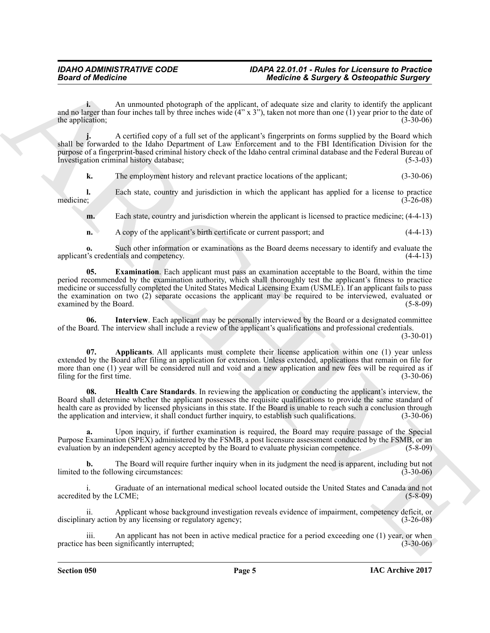**i.** An unmounted photograph of the applicant, of adequate size and clarity to identify the applicant and no larger than four inches tall by three inches wide  $(4'' \times 3'')$ , taken not more than one (1) year prior to the date of the application:  $(3-30-06)$ the application;

**j.** A certified copy of a full set of the applicant's fingerprints on forms supplied by the Board which shall be forwarded to the Idaho Department of Law Enforcement and to the FBI Identification Division for the purpose of a fingerprint-based criminal history check of the Idaho central criminal database and the Federal Bureau of Investigation criminal history database;

**k.** The employment history and relevant practice locations of the applicant; (3-30-06)

**l.** Each state, country and jurisdiction in which the applicant has applied for a license to practice medicine; (3-26-08) medicine;  $(3-26-08)$ 

**m.** Each state, country and jurisdiction wherein the applicant is licensed to practice medicine;  $(4-4-13)$ 

<span id="page-4-1"></span>**n.** A copy of the applicant's birth certificate or current passport; and  $(4-4-13)$ 

**o.** Such other information or examinations as the Board deems necessary to identify and evaluate the  $i$ 's credentials and competency. (4-4-13) applicant's credentials and competency.

**Example the distribution**  $\frac{1}{2}$  **Medicine A** Surgery **A** Osteographic Surgery <br>  $\frac{1}{2}$  change that announced color proposed by the system and the system and the system and the system and the system and the system **05. Examination**. Each applicant must pass an examination acceptable to the Board, within the time period recommended by the examination authority, which shall thoroughly test the applicant's fitness to practice medicine or successfully completed the United States Medical Licensing Exam (USMLE). If an applicant fails to pass the examination on two (2) separate occasions the applicant may be required to be interviewed, evaluated or examined by the Board. (5-8-09) examined by the Board.

<span id="page-4-3"></span>Interview. Each applicant may be personally interviewed by the Board or a designated committee of the Board. The interview shall include a review of the applicant's qualifications and professional credentials.

(3-30-01)

<span id="page-4-0"></span>**07.** Applicants. All applicants must complete their license application within one (1) year unless extended by the Board after filing an application for extension. Unless extended, applications that remain on file for more than one (1) year will be considered null and void and a new application and new fees will be required as if filing for the first time. (3-30-06) filing for the first time.

<span id="page-4-2"></span>**08. Health Care Standards**. In reviewing the application or conducting the applicant's interview, the Board shall determine whether the applicant possesses the requisite qualifications to provide the same standard of health care as provided by licensed physicians in this state. If the Board is unable to reach such a conclusion through the application and interview, it shall conduct further inquiry, to establish such qualifications. (3the application and interview, it shall conduct further inquiry, to establish such qualifications.

**a.** Upon inquiry, if further examination is required, the Board may require passage of the Special Purpose Examination (SPEX) administered by the FSMB, a post licensure assessment conducted by the FSMB, or an evaluation by an independent agency accepted by the Board to evaluate physician competence. (5-8-09) evaluation by an independent agency accepted by the Board to evaluate physician competence.

**b.** The Board will require further inquiry when in its judgment the need is apparent, including but not limited to the following circumstances: (3-30-06)

i. Graduate of an international medical school located outside the United States and Canada and not accredited by the LCME;

ii. Applicant whose background investigation reveals evidence of impairment, competency deficit, or any action by any licensing or regulatory agency; (3-26-08) disciplinary action by any licensing or regulatory agency;

An applicant has not been in active medical practice for a period exceeding one (1) year, or when significantly interrupted; (3-30-06) practice has been significantly interrupted;

**Section 050 Page 5**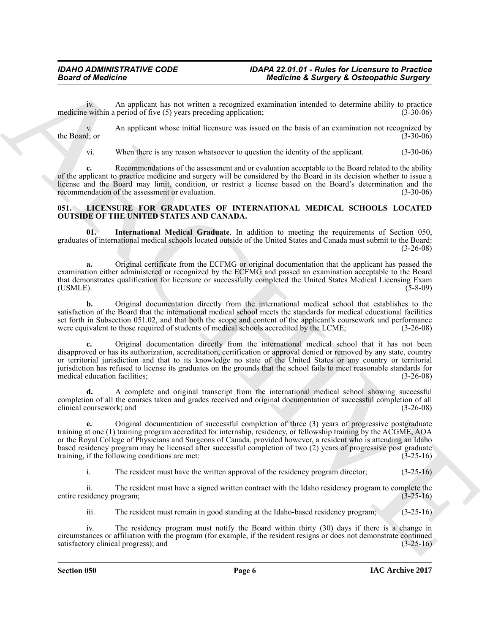iv. An applicant has not written a recognized examination intended to determine ability to practice medicine within a period of five  $(5)$  years preceding application;

v. An applicant whose initial licensure was issued on the basis of an examination not recognized by the Board; or (3-30-06) the Board; or  $(3-30-06)$ 

vi. When there is any reason whatsoever to question the identity of the applicant. (3-30-06)

Recommendations of the assessment and or evaluation acceptable to the Board related to the ability of the applicant to practice medicine and surgery will be considered by the Board in its decision whether to issue a license and the Board may limit, condition, or restrict a license based on the Board's determination and the recommendation of the assessment or evaluation. recommendation of the assessment or evaluation.

#### <span id="page-5-1"></span><span id="page-5-0"></span>**051. LICENSURE FOR GRADUATES OF INTERNATIONAL MEDICAL SCHOOLS LOCATED OUTSIDE OF THE UNITED STATES AND CANADA.**

<span id="page-5-2"></span>**01. International Medical Graduate**. In addition to meeting the requirements of Section 050, graduates of international medical schools located outside of the United States and Canada must submit to the Board: (3-26-08)

**a.** Original certificate from the ECFMG or original documentation that the applicant has passed the examination either administered or recognized by the ECFMG and passed an examination acceptable to the Board that demonstrates qualification for licensure or successfully completed the United States Medical Licensing Exam (USMLE). (5-8-09)

**b.** Original documentation directly from the international medical school that establishes to the satisfaction of the Board that the international medical school meets the standards for medical educational facilities set forth in Subsection 051.02, and that both the scope and content of the applicant's coursework and performance were equivalent to those required of students of medical schools accredited by the LCME; (3-26-08)

Beard of Medicine<br>
Medicine a position in the same and the same and the same and the same and the same and the same and the same and the same and the same and the same and the same and the same and the same and the same a **c.** Original documentation directly from the international medical school that it has not been disapproved or has its authorization, accreditation, certification or approval denied or removed by any state, country or territorial jurisdiction and that to its knowledge no state of the United States or any country or territorial jurisdiction has refused to license its graduates on the grounds that the school fails to meet reasonable standards for medical education facilities;

**d.** A complete and original transcript from the international medical school showing successful completion of all the courses taken and grades received and original documentation of successful completion of all clinical coursework; and

**e.** Original documentation of successful completion of three (3) years of progressive postgraduate training at one (1) training program accredited for internship, residency, or fellowship training by the ACGME, AOA or the Royal College of Physicians and Surgeons of Canada, provided however, a resident who is attending an Idaho based residency program may be licensed after successful completion of two (2) years of progressive post graduate training, if the following conditions are met: (3-25-16) training, if the following conditions are met:

i. The resident must have the written approval of the residency program director; (3-25-16)

ii. The resident must have a signed written contract with the Idaho residency program to complete the sidency program; (3-25-16) entire residency program;

iii. The resident must remain in good standing at the Idaho-based residency program; (3-25-16)

iv. The residency program must notify the Board within thirty (30) days if there is a change in circumstances or affiliation with the program (for example, if the resident resigns or does not demonstrate continued satisfactory clinical progress); and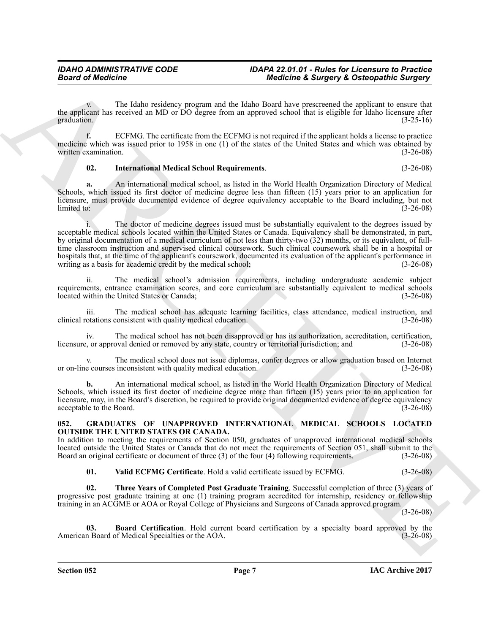The Idaho residency program and the Idaho Board have prescreened the applicant to ensure that the applicant has received an MD or DO degree from an approved school that is eligible for Idaho licensure after graduation. (3-25-16) graduation.  $(3-25-16)$ 

**f.** ECFMG. The certificate from the ECFMG is not required if the applicant holds a license to practice medicine which was issued prior to 1958 in one (1) of the states of the United States and which was obtained by<br>written examination.  $(3-26-08)$ written examination.

#### <span id="page-6-5"></span>**02. International Medical School Requirements**. (3-26-08)

**a.** An international medical school, as listed in the World Health Organization Directory of Medical Schools, which issued its first doctor of medicine degree less than fifteen (15) years prior to an application for licensure, must provide documented evidence of degree equivalency acceptable to the Board including, but not  $\text{limited to:} \tag{3-26-08}$ 

Beard of Medicine<br>
The Lights were also made to the Control of the Lights were the Control of the Control of the Control of the Control of the Lights were also been concepted by the Control of the Control of the Control o i. The doctor of medicine degrees issued must be substantially equivalent to the degrees issued by acceptable medical schools located within the United States or Canada. Equivalency shall be demonstrated, in part, by original documentation of a medical curriculum of not less than thirty-two (32) months, or its equivalent, of fulltime classroom instruction and supervised clinical coursework. Such clinical coursework shall be in a hospital or hospitals that, at the time of the applicant's coursework, documented its evaluation of the applicant's performance in writing as a basis for academic credit by the medical school; (3-26-08) writing as a basis for academic credit by the medical school;

The medical school's admission requirements, including undergraduate academic subject requirements, entrance examination scores, and core curriculum are substantially equivalent to medical schools located within the United States or Canada: (3-26-08) located within the United States or Canada;

iii. The medical school has adequate learning facilities, class attendance, medical instruction, and otations consistent with quality medical education. (3-26-08) clinical rotations consistent with quality medical education.

iv. The medical school has not been disapproved or has its authorization, accreditation, certification, content<br>of territorial jurisdiction, and (3-26-08), or approval denied or removed by any state, country or territorial licensure, or approval denied or removed by any state, country or territorial jurisdiction; and

v. The medical school does not issue diplomas, confer degrees or allow graduation based on Internet or on-line courses inconsistent with quality medical education.

**b.** An international medical school, as listed in the World Health Organization Directory of Medical Schools, which issued its first doctor of medicine degree more than fifteen (15) years prior to an application for licensure, may, in the Board's discretion, be required to provide original documented evidence of degree equivalency acceptable to the Board. (3-26-08) acceptable to the Board.

#### <span id="page-6-1"></span><span id="page-6-0"></span>**052. GRADUATES OF UNAPPROVED INTERNATIONAL MEDICAL SCHOOLS LOCATED OUTSIDE THE UNITED STATES OR CANADA.**

In addition to meeting the requirements of Section 050, graduates of unapproved international medical schools located outside the United States or Canada that do not meet the requirements of Section 051, shall submit to the Board an original certificate or document of three (3) of the four (4) following requirements. (3-26-08) Board an original certificate or document of three (3) of the four (4) following requirements.

<span id="page-6-4"></span><span id="page-6-3"></span>**01. Valid ECFMG Certificate**. Hold a valid certificate issued by ECFMG. (3-26-08)

**02. Three Years of Completed Post Graduate Training**. Successful completion of three (3) years of progressive post graduate training at one (1) training program accredited for internship, residency or fellowship training in an ACGME or AOA or Royal College of Physicians and Surgeons of Canada approved program.

(3-26-08)

<span id="page-6-2"></span>**03. Board Certification**. Hold current board certification by a specialty board approved by the n Board of Medical Specialties or the AOA.  $(3-26-08)$ American Board of Medical Specialties or the AOA.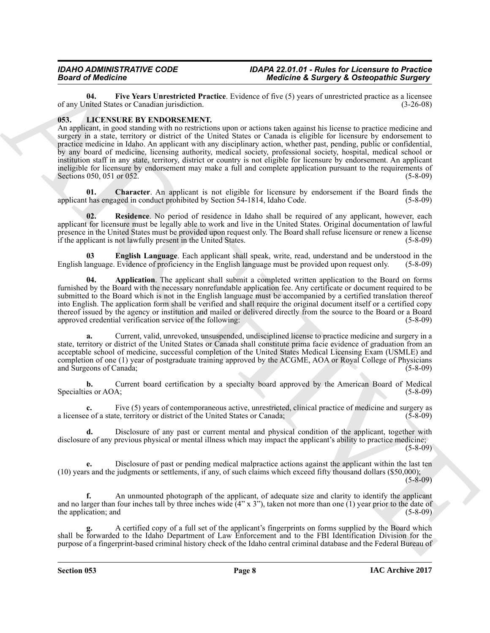<span id="page-7-1"></span>**04.** Five Years Unrestricted Practice. Evidence of five (5) years of unrestricted practice as a licensee inted States or Canadian iurisdiction. of any United States or Canadian jurisdiction.

### <span id="page-7-2"></span><span id="page-7-0"></span>**053. LICENSURE BY ENDORSEMENT.**

Beard of Redeficite a Change in the state of the state of the state of the state of the state of the state of the state of the state of the state of the state of the state of the state of the state of the state of the sta An applicant, in good standing with no restrictions upon or actions taken against his license to practice medicine and surgery in a state, territory or district of the United States or Canada is eligible for licensure by endorsement to practice medicine in Idaho. An applicant with any disciplinary action, whether past, pending, public or confidential, by any board of medicine, licensing authority, medical society, professional society, hospital, medical school or institution staff in any state, territory, district or country is not eligible for licensure by endorsement. An applicant ineligible for licensure by endorsement may make a full and complete application pursuant to the requirements of Sections 050, 051 or 052. (5-8-09)

<span id="page-7-4"></span>**01.** Character. An applicant is not eligible for licensure by endorsement if the Board finds the thas engaged in conduct prohibited by Section 54-1814. Idaho Code. (5-8-09) applicant has engaged in conduct prohibited by Section 54-1814, Idaho Code.

<span id="page-7-6"></span>**02. Residence**. No period of residence in Idaho shall be required of any applicant, however, each applicant for licensure must be legally able to work and live in the United States. Original documentation of lawful presence in the United States must be provided upon request only. The Board shall refuse licensure or renew a license if the applicant is not lawfully present in the United States. (5-8-09)

<span id="page-7-5"></span>**03 English Language**. Each applicant shall speak, write, read, understand and be understood in the anguage. Evidence of proficiency in the English language must be provided upon request only. (5-8-09) English language. Evidence of proficiency in the English language must be provided upon request only.

<span id="page-7-3"></span>**04. Application**. The applicant shall submit a completed written application to the Board on forms furnished by the Board with the necessary nonrefundable application fee. Any certificate or document required to be submitted to the Board which is not in the English language must be accompanied by a certified translation thereof into English. The application form shall be verified and shall require the original document itself or a certified copy thereof issued by the agency or institution and mailed or delivered directly from the source to the Board or a Board approved credential verification service of the following: (5-8-09) approved credential verification service of the following:

**a.** Current, valid, unrevoked, unsuspended, undisciplined license to practice medicine and surgery in a state, territory or district of the United States or Canada shall constitute prima facie evidence of graduation from an acceptable school of medicine, successful completion of the United States Medical Licensing Exam (USMLE) and completion of one (1) year of postgraduate training approved by the ACGME, AOA or Royal College of Physicians and Surgeons of Canada; (5-8-09) and Surgeons of Canada;

**b.** Current board certification by a specialty board approved by the American Board of Medical es or AOA; (5-8-09) Specialties or AOA;

**c.** Five (5) years of contemporaneous active, unrestricted, clinical practice of medicine and surgery as e of a state, territory or district of the United States or Canada: (5-8-09) a licensee of a state, territory or district of the United States or Canada;

**d.** Disclosure of any past or current mental and physical condition of the applicant, together with disclosure of any previous physical or mental illness which may impact the applicant's ability to practice medicine;  $(5-8-09)$ 

**e.** Disclosure of past or pending medical malpractice actions against the applicant within the last ten (10) years and the judgments or settlements, if any, of such claims which exceed fifty thousand dollars (\$50,000); (5-8-09)

**f.** An unmounted photograph of the applicant, of adequate size and clarity to identify the applicant and no larger than four inches tall by three inches wide  $(4'' \times 3'')$ , taken not more than one (1) year prior to the date of the application; and  $(5-8-09)$ the application; and

**g.** A certified copy of a full set of the applicant's fingerprints on forms supplied by the Board which shall be forwarded to the Idaho Department of Law Enforcement and to the FBI Identification Division for the purpose of a fingerprint-based criminal history check of the Idaho central criminal database and the Federal Bureau of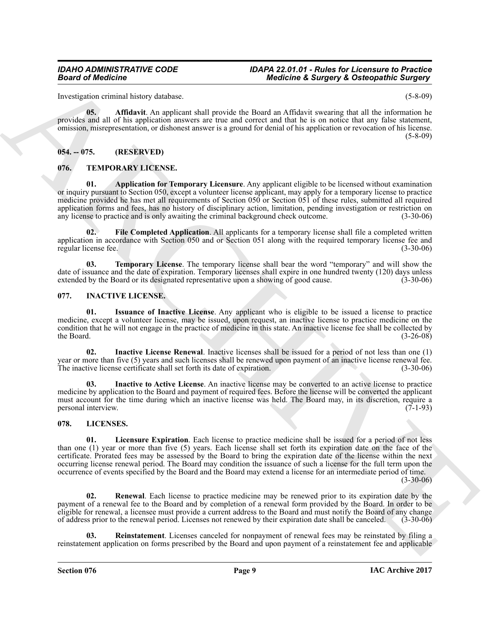Investigation criminal history database. (5-8-09)

<span id="page-8-11"></span>**05. Affidavit**. An applicant shall provide the Board an Affidavit swearing that all the information he provides and all of his application answers are true and correct and that he is on notice that any false statement, omission, misrepresentation, or dishonest answer is a ground for denial of his application or revocation of his license.  $(5-8-09)$ 

### <span id="page-8-0"></span>**054. -- 075. (RESERVED)**

### <span id="page-8-14"></span><span id="page-8-1"></span>**076. TEMPORARY LICENSE.**

<span id="page-8-4"></span>**01. Application for Temporary Licensure**. Any applicant eligible to be licensed without examination or inquiry pursuant to Section 050, except a volunteer license applicant, may apply for a temporary license to practice medicine provided he has met all requirements of Section 050 or Section 051 of these rules, submitted all required application forms and fees, has no history of disciplinary action, limitation, pending investigation or restriction on any license to practice and is only awaiting the criminal background check outcome. (3-30-06)

<span id="page-8-15"></span>**02. File Completed Application**. All applicants for a temporary license shall file a completed written application in accordance with Section 050 and or Section 051 along with the required temporary license fee and regular license fee. (3-30-06) regular license fee.

<span id="page-8-16"></span>**03. Temporary License**. The temporary license shall bear the word "temporary" and will show the date of issuance and the date of expiration. Temporary licenses shall expire in one hundred twenty (120) days unless extended by the Board or its designated representative upon a showing of good cause. (3-30-06) extended by the Board or its designated representative upon a showing of good cause.

#### <span id="page-8-5"></span><span id="page-8-2"></span>**077. INACTIVE LICENSE.**

<span id="page-8-9"></span>**01. Issuance of Inactive License**. Any applicant who is eligible to be issued a license to practice medicine, except a volunteer license, may be issued, upon request, an inactive license to practice medicine on the condition that he will not engage in the practice of medicine in this state. An inactive license fee shall be collected by the Board. (3-26-08) the Board.  $(3-26-08)$ 

<span id="page-8-6"></span>**02. Inactive License Renewal**. Inactive licenses shall be issued for a period of not less than one (1) year or more than five (5) years and such licenses shall be renewed upon payment of an inactive license renewal fee.<br>The inactive license certificate shall set forth its date of expiration. (3-30-06) The inactive license certificate shall set forth its date of expiration.

<span id="page-8-7"></span>**03. Inactive to Active License**. An inactive license may be converted to an active license to practice medicine by application to the Board and payment of required fees. Before the license will be converted the applicant must account for the time during which an inactive license was held. The Board may, in its discretion, require a personal interview. (7-1-93) personal interview.

### <span id="page-8-12"></span><span id="page-8-10"></span><span id="page-8-3"></span>**078. LICENSES.**

**Example the distribution** and the same of the same of the same of the same of the same of the same of the same of the same of the same of the same of the same of the same of the same of the same of the same of the same o **01. Licensure Expiration**. Each license to practice medicine shall be issued for a period of not less than one (1) year or more than five (5) years. Each license shall set forth its expiration date on the face of the certificate. Prorated fees may be assessed by the Board to bring the expiration date of the license within the next occurring license renewal period. The Board may condition the issuance of such a license for the full term upon the occurrence of events specified by the Board and the Board may extend a license for an intermediate period of time.  $(3-30-06)$ 

<span id="page-8-8"></span>**02. Renewal**. Each license to practice medicine may be renewed prior to its expiration date by the payment of a renewal fee to the Board and by completion of a renewal form provided by the Board. In order to be eligible for renewal, a licensee must provide a current address to the Board and must notify the Board of any change of address prior to the renewal period. Licenses not renewed by their expiration date shall be canceled. (3-30-06)

<span id="page-8-13"></span>**Reinstatement**. Licenses canceled for nonpayment of renewal fees may be reinstated by filing a reinstatement application on forms prescribed by the Board and upon payment of a reinstatement fee and applicable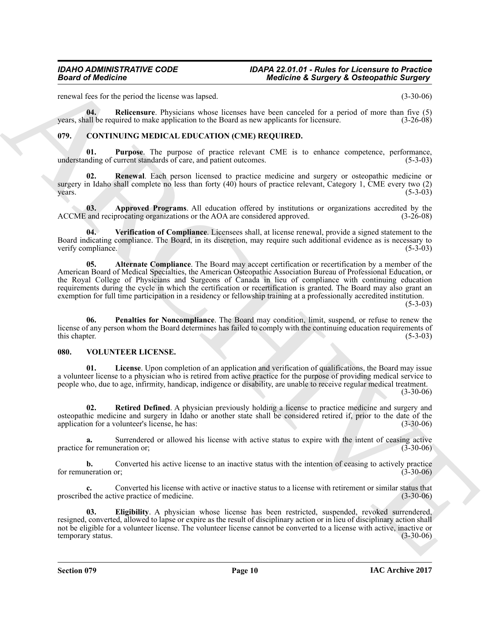renewal fees for the period the license was lapsed. (3-30-06)

<span id="page-9-9"></span>**04. Relicensure**. Physicians whose licenses have been canceled for a period of more than five (5) years, shall be required to make application to the Board as new applicants for licensure. (3-26-08)

### <span id="page-9-2"></span><span id="page-9-0"></span>**079. CONTINUING MEDICAL EDUCATION (CME) REQUIRED.**

<span id="page-9-6"></span>**Purpose.** The purpose of practice relevant CME is to enhance competence, performance, current standards of care, and patient outcomes. (5-3-03) understanding of current standards of care, and patient outcomes.

<span id="page-9-7"></span>**02. Renewal**. Each person licensed to practice medicine and surgery or osteopathic medicine or surgery in Idaho shall complete no less than forty (40) hours of practice relevant, Category 1, CME every two (2) years.  $\gamma$  years. (5-3-03)

<span id="page-9-4"></span>**03.** Approved Programs. All education offered by institutions or organizations accredited by the and reciprocating organizations or the AOA are considered approved. (3-26-08) ACCME and reciprocating organizations or the AOA are considered approved.

<span id="page-9-8"></span><span id="page-9-3"></span>**04. Verification of Compliance**. Licensees shall, at license renewal, provide a signed statement to the Board indicating compliance. The Board, in its discretion, may require such additional evidence as is necessary to verify compliance. (5-3-03) verify compliance.

**Beari of Medicine and Surgery A Daregambic Surgery A Categoris Bearing the Surgery A Categoris Bearing the Surgery A Categoris Bearing the Surgery A Categoris Bearing the Surgery A Categoris Bearing the Surgery A Categor 05. Alternate Compliance**. The Board may accept certification or recertification by a member of the American Board of Medical Specialties, the American Osteopathic Association Bureau of Professional Education, or the Royal College of Physicians and Surgeons of Canada in lieu of compliance with continuing education requirements during the cycle in which the certification or recertification is granted. The Board may also grant an exemption for full time participation in a residency or fellowship training at a professionally accredited institution.

(5-3-03)

<span id="page-9-5"></span>**06. Penalties for Noncompliance**. The Board may condition, limit, suspend, or refuse to renew the license of any person whom the Board determines has failed to comply with the continuing education requirements of this chapter. (5-3-03) this chapter. (5-3-03)

### <span id="page-9-10"></span><span id="page-9-1"></span>**080. VOLUNTEER LICENSE.**

<span id="page-9-12"></span>**01. License**. Upon completion of an application and verification of qualifications, the Board may issue a volunteer license to a physician who is retired from active practice for the purpose of providing medical service to people who, due to age, infirmity, handicap, indigence or disability, are unable to receive regular medical treatment. (3-30-06)

<span id="page-9-13"></span>**02. Retired Defined**. A physician previously holding a license to practice medicine and surgery and osteopathic medicine and surgery in Idaho or another state shall be considered retired if, prior to the date of the application for a volunteer's license, he has:

**a.** Surrendered or allowed his license with active status to expire with the intent of ceasing active for remuneration or; (3-30-06) practice for remuneration or;

**b.** Converted his active license to an inactive status with the intention of ceasing to actively practice for remuneration or; (3-30-06)

**c.** Converted his license with active or inactive status to a license with retirement or similar status that d the active practice of medicine.  $(3-30-06)$ proscribed the active practice of medicine.

<span id="page-9-11"></span>**03. Eligibility**. A physician whose license has been restricted, suspended, revoked surrendered, resigned, converted, allowed to lapse or expire as the result of disciplinary action or in lieu of disciplinary action shall not be eligible for a volunteer license. The volunteer license cannot be converted to a license with active, inactive or<br>(3-30-06) temporary status.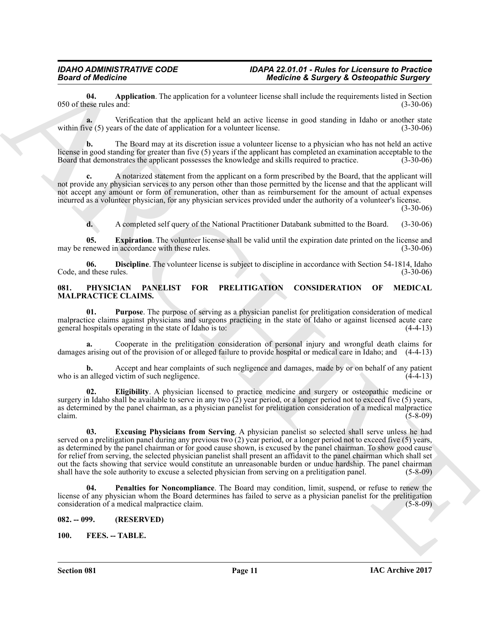<span id="page-10-9"></span>**04. Application**. The application for a volunteer license shall include the requirements listed in Section ese rules and: (3-30-06) 050 of these rules and:

**a.** Verification that the applicant held an active license in good standing in Idaho or another state within five (5) years of the date of application for a volunteer license. (3-30-06)

**b.** The Board may at its discretion issue a volunteer license to a physician who has not held an active license in good standing for greater than five (5) years if the applicant has completed an examination acceptable to the Board that demonstrates the applicant possesses the knowledge and skills required to practice. (3-30-06)

**c.** A notarized statement from the applicant on a form prescribed by the Board, that the applicant will not provide any physician services to any person other than those permitted by the license and that the applicant will not accept any amount or form of remuneration, other than as reimbursement for the amount of actual expenses incurred as a volunteer physician, for any physician services provided under the authority of a volunteer's license.

 $(3-30-06)$ 

<span id="page-10-11"></span><span id="page-10-10"></span>**d.** A completed self query of the National Practitioner Databank submitted to the Board. (3-30-06)

**05. Expiration**. The volunteer license shall be valid until the expiration date printed on the license and enewed in accordance with these rules. may be renewed in accordance with these rules.

**06. Discipline**. The volunteer license is subject to discipline in accordance with Section 54-1814, Idaho d these rules. (3-30-06) Code, and these rules.

#### <span id="page-10-4"></span><span id="page-10-0"></span>**081. PHYSICIAN PANELIST FOR PRELITIGATION CONSIDERATION OF MEDICAL MALPRACTICE CLAIMS.**

<span id="page-10-8"></span>**01. Purpose**. The purpose of serving as a physician panelist for prelitigation consideration of medical malpractice claims against physicians and surgeons practicing in the state of Idaho or against licensed acute care<br>general hospitals operating in the state of Idaho is to: general hospitals operating in the state of Idaho is to:

**a.** Cooperate in the prelitigation consideration of personal injury and wrongful death claims for damages arising out of the provision of or alleged failure to provide hospital or medical care in Idaho; and (4-4-13)

**b.** Accept and hear complaints of such negligence and damages, made by or on behalf of any patient alleged victim of such negligence. (4-4-13) who is an alleged victim of such negligence.

<span id="page-10-6"></span><span id="page-10-5"></span>**02. Eligibility**. A physician licensed to practice medicine and surgery or osteopathic medicine or surgery in Idaho shall be available to serve in any two  $(2)$  year period, or a longer period not to exceed five  $(5)$  years, as determined by the panel chairman, as a physician panelist for prelitigation consideration of a medical malpractice<br>claim. (5-8-09) claim.  $(5-8-09)$ 

**Showd of Musician II** explication Constraints of the state of simpler state and the state of simpler and the state of simpler and the state of simpler and the state of the state of the state of the state of the state of **03. Excusing Physicians from Serving**. A physician panelist so selected shall serve unless he had served on a prelitigation panel during any previous two  $(2)$  year period, or a longer period not to exceed five (5) years, as determined by the panel chairman or for good cause shown, is excused by the panel chairman. To show good cause for relief from serving, the selected physician panelist shall present an affidavit to the panel chairman which shall set out the facts showing that service would constitute an unreasonable burden or undue hardship. The panel chairman shall have the sole authority to excuse a selected physician from serving on a prelitigation panel. (5-8-09)

<span id="page-10-7"></span>**Penalties for Noncompliance**. The Board may condition, limit, suspend, or refuse to renew the license of any physician whom the Board determines has failed to serve as a physician panelist for the prelitigation consideration of a medical malpractice claim. (5-8-09)

<span id="page-10-1"></span>**082. -- 099. (RESERVED)**

<span id="page-10-3"></span><span id="page-10-2"></span>**100. FEES. -- TABLE.**

**Section 081 Page 11**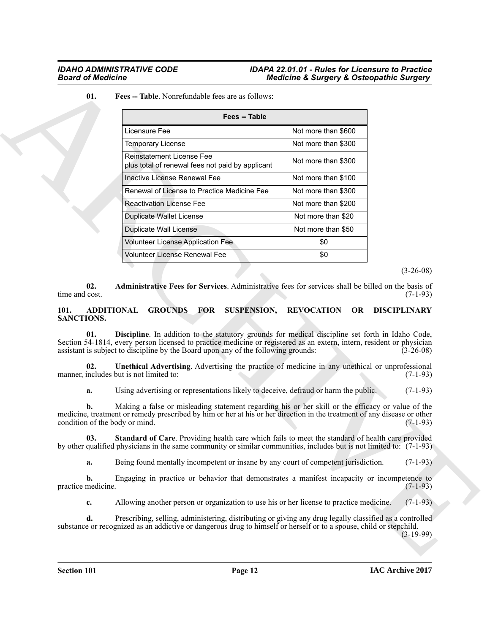<span id="page-11-6"></span>

|                                                    | Fees -- Table                                                                                                                                                                                                                                                                                                                                             |                                           |             |
|----------------------------------------------------|-----------------------------------------------------------------------------------------------------------------------------------------------------------------------------------------------------------------------------------------------------------------------------------------------------------------------------------------------------------|-------------------------------------------|-------------|
|                                                    | Licensure Fee                                                                                                                                                                                                                                                                                                                                             | Not more than \$600                       |             |
|                                                    | <b>Temporary License</b>                                                                                                                                                                                                                                                                                                                                  | Not more than \$300                       |             |
|                                                    | Reinstatement License Fee<br>plus total of renewal fees not paid by applicant                                                                                                                                                                                                                                                                             | Not more than \$300                       |             |
|                                                    | Inactive License Renewal Fee                                                                                                                                                                                                                                                                                                                              | Not more than \$100                       |             |
|                                                    | Renewal of License to Practice Medicine Fee                                                                                                                                                                                                                                                                                                               | Not more than \$300                       |             |
|                                                    | <b>Reactivation License Fee</b>                                                                                                                                                                                                                                                                                                                           | Not more than \$200                       |             |
|                                                    | <b>Duplicate Wallet License</b>                                                                                                                                                                                                                                                                                                                           | Not more than \$20                        |             |
|                                                    | <b>Duplicate Wall License</b>                                                                                                                                                                                                                                                                                                                             | Not more than \$50                        |             |
|                                                    | <b>Volunteer License Application Fee</b>                                                                                                                                                                                                                                                                                                                  | \$0                                       |             |
|                                                    | Volunteer License Renewal Fee                                                                                                                                                                                                                                                                                                                             | \$0                                       |             |
|                                                    |                                                                                                                                                                                                                                                                                                                                                           |                                           | $(3-26-08)$ |
| 02.<br>time and cost.<br>101.<br>SANCTIONS.<br>01. | Administrative Fees for Services. Administrative fees for services shall be billed on the basis of<br>ADDITIONAL GROUNDS FOR<br>Discipline. In addition to the statutory grounds for medical discipline set forth in Idaho Code,<br>Section 54-1814, every person licensed to practice medicine or registered as an extern, intern, resident or physician | SUSPENSION, REVOCATION<br>OR DISCIPLINARY | $(7-1-93)$  |
| 02.                                                | assistant is subject to discipline by the Board upon any of the following grounds:<br>Unethical Advertising. Advertising the practice of medicine in any unethical or unprofessional                                                                                                                                                                      |                                           | $(3-26-08)$ |
|                                                    | manner, includes but is not limited to:                                                                                                                                                                                                                                                                                                                   |                                           | $(7-1-93)$  |
| a.                                                 | Using advertising or representations likely to deceive, defraud or harm the public.                                                                                                                                                                                                                                                                       |                                           | $(7-1-93)$  |
| b.                                                 | Making a false or misleading statement regarding his or her skill or the efficacy or value of the<br>medicine, treatment or remedy prescribed by him or her at his or her direction in the treatment of any disease or other                                                                                                                              |                                           | $(7-1-93)$  |
| 03.                                                | <b>Standard of Care.</b> Providing health care which fails to meet the standard of health care provided<br>by other qualified physicians in the same community or similar communities, includes but is not limited to: $(7-1-93)$                                                                                                                         |                                           |             |
| condition of the body or mind.<br>a.               | Being found mentally incompetent or insane by any court of competent jurisdiction.                                                                                                                                                                                                                                                                        |                                           | $(7-1-93)$  |
| b.                                                 | Engaging in practice or behavior that demonstrates a manifest incapacity or incompetence to                                                                                                                                                                                                                                                               |                                           | $(7-1-93)$  |
| practice medicine.<br>c.                           | Allowing another person or organization to use his or her license to practice medicine.                                                                                                                                                                                                                                                                   |                                           | $(7-1-93)$  |

#### <span id="page-11-5"></span><span id="page-11-4"></span><span id="page-11-3"></span><span id="page-11-2"></span><span id="page-11-1"></span><span id="page-11-0"></span>**101. ADDITIONAL GROUNDS FOR SUSPENSION, REVOCATION OR DISCIPLINARY SANCTIONS.**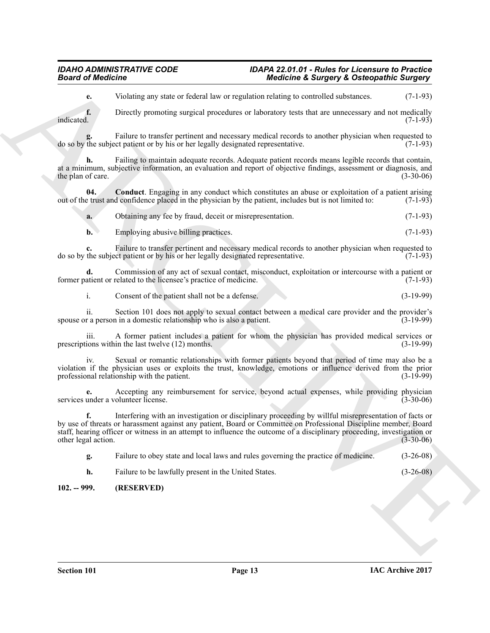**e.** Violating any state or federal law or regulation relating to controlled substances. (7-1-93)

**f.** Directly promoting surgical procedures or laboratory tests that are unnecessary and not medically indicated. (7-1-93) indicated. (7-1-93)

Failure to transfer pertinent and necessary medical records to another physician when requested to ct patient or by his or her legally designated representative. (7-1-93) do so by the subject patient or by his or her legally designated representative.

**h.** Failing to maintain adequate records. Adequate patient records means legible records that contain, at a minimum, subjective information, an evaluation and report of objective findings, assessment or diagnosis, and<br>(3-30-06) (3-30-06) the plan of care.

**04.** Conduct. Engaging in any conduct which constitutes an abuse or exploitation of a patient arising express trust and confidence placed in the physician by the patient, includes but is not limited to: (7-1-93) out of the trust and confidence placed in the physician by the patient, includes but is not limited to:

<span id="page-12-1"></span>**a.** Obtaining any fee by fraud, deceit or misrepresentation. (7-1-93)

**b.** Employing abusive billing practices. (7-1-93)

**c.** Failure to transfer pertinent and necessary medical records to another physician when requested to the subject patient or by his or her legally designated representative. (7-1-93) do so by the subject patient or by his or her legally designated representative.

**d.** Commission of any act of sexual contact, misconduct, exploitation or intercourse with a patient or related to the licensee's practice of medicine. (7-1-93) former patient or related to the licensee's practice of medicine.

i. Consent of the patient shall not be a defense. (3-19-99)

ii. Section 101 does not apply to sexual contact between a medical care provider and the provider's r a person in a domestic relationship who is also a patient. (3-19-99) spouse or a person in a domestic relationship who is also a patient.

iii. A former patient includes a patient for whom the physician has provided medical services or ions within the last twelve (12) months. (3-19-99) prescriptions within the last twelve  $(12)$  months.

iv. Sexual or romantic relationships with former patients beyond that period of time may also be a violation if the physician uses or exploits the trust, knowledge, emotions or influence derived from the prior<br>professional relationship with the patient. (3-19-99) professional relationship with the patient.

**e.** Accepting any reimbursement for service, beyond actual expenses, while providing physician under a volunteer license. (3-30-06) services under a volunteer license.

Beard of Medicine<br>
Y and the same project of the state and the same project of the same project of the same project of the same project of the same project of the same project of the same project of the same project of th **f.** Interfering with an investigation or disciplinary proceeding by willful misrepresentation of facts or by use of threats or harassment against any patient, Board or Committee on Professional Discipline member, Board staff, hearing officer or witness in an attempt to influence the outcome of a disciplinary proceeding, investigation or other legal action. (3-30-06) other legal action.

**g.** Failure to obey state and local laws and rules governing the practice of medicine. (3-26-08)

**h.** Failure to be lawfully present in the United States. (3-26-08)

<span id="page-12-0"></span>**102. -- 999. (RESERVED)**